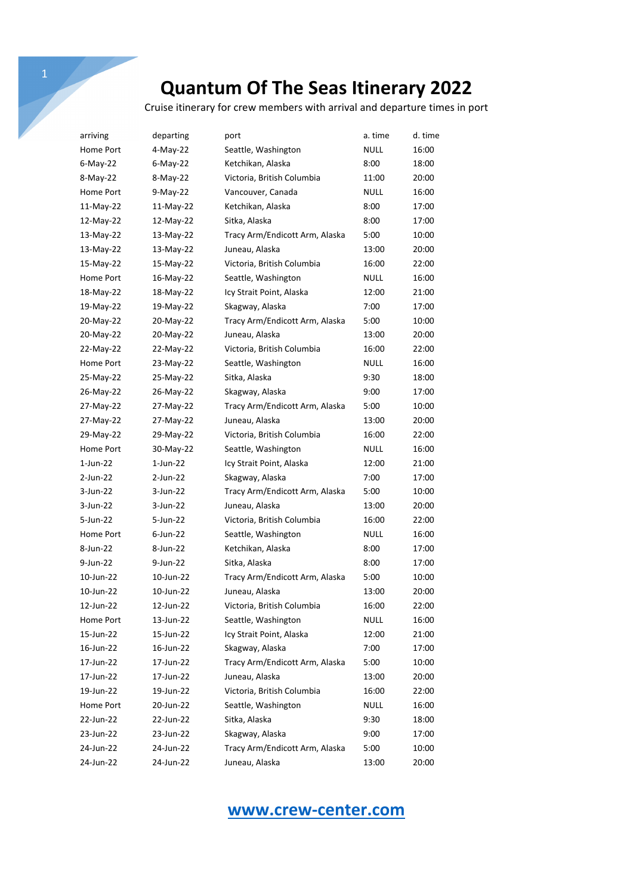Cruise itinerary for crew members with arrival and departure times in port

| arriving    | departing   | port                           | a. time     | d. time |
|-------------|-------------|--------------------------------|-------------|---------|
| Home Port   | 4-May-22    | Seattle, Washington            | <b>NULL</b> | 16:00   |
| $6$ -May-22 | $6$ -May-22 | Ketchikan, Alaska              | 8:00        | 18:00   |
| 8-May-22    | 8-May-22    | Victoria, British Columbia     | 11:00       | 20:00   |
| Home Port   | $9-May-22$  | Vancouver, Canada              | NULL        | 16:00   |
| 11-May-22   | 11-May-22   | Ketchikan, Alaska              | 8:00        | 17:00   |
| 12-May-22   | 12-May-22   | Sitka, Alaska                  | 8:00        | 17:00   |
| 13-May-22   | 13-May-22   | Tracy Arm/Endicott Arm, Alaska | 5:00        | 10:00   |
| 13-May-22   | 13-May-22   | Juneau, Alaska                 | 13:00       | 20:00   |
| 15-May-22   | 15-May-22   | Victoria, British Columbia     | 16:00       | 22:00   |
| Home Port   | 16-May-22   | Seattle, Washington            | NULL        | 16:00   |
| 18-May-22   | 18-May-22   | Icy Strait Point, Alaska       | 12:00       | 21:00   |
| 19-May-22   | 19-May-22   | Skagway, Alaska                | 7:00        | 17:00   |
| 20-May-22   | 20-May-22   | Tracy Arm/Endicott Arm, Alaska | 5:00        | 10:00   |
| 20-May-22   | 20-May-22   | Juneau, Alaska                 | 13:00       | 20:00   |
| 22-May-22   | 22-May-22   | Victoria, British Columbia     | 16:00       | 22:00   |
| Home Port   | 23-May-22   | Seattle, Washington            | <b>NULL</b> | 16:00   |
| 25-May-22   | 25-May-22   | Sitka, Alaska                  | 9:30        | 18:00   |
| 26-May-22   | 26-May-22   | Skagway, Alaska                | 9:00        | 17:00   |
| 27-May-22   | 27-May-22   | Tracy Arm/Endicott Arm, Alaska | 5:00        | 10:00   |
| 27-May-22   | 27-May-22   | Juneau, Alaska                 | 13:00       | 20:00   |
| 29-May-22   | 29-May-22   | Victoria, British Columbia     | 16:00       | 22:00   |
| Home Port   | 30-May-22   | Seattle, Washington            | NULL        | 16:00   |
| $1$ -Jun-22 | $1$ -Jun-22 | Icy Strait Point, Alaska       | 12:00       | 21:00   |
| 2-Jun-22    | 2-Jun-22    | Skagway, Alaska                | 7:00        | 17:00   |
| 3-Jun-22    | 3-Jun-22    | Tracy Arm/Endicott Arm, Alaska | 5:00        | 10:00   |
| 3-Jun-22    | 3-Jun-22    | Juneau, Alaska                 | 13:00       | 20:00   |
| 5-Jun-22    | 5-Jun-22    | Victoria, British Columbia     | 16:00       | 22:00   |
| Home Port   | $6$ -Jun-22 | Seattle, Washington            | NULL        | 16:00   |
| 8-Jun-22    | 8-Jun-22    | Ketchikan, Alaska              | 8:00        | 17:00   |
| 9-Jun-22    | 9-Jun-22    | Sitka, Alaska                  | 8:00        | 17:00   |
| 10-Jun-22   | 10-Jun-22   | Tracy Arm/Endicott Arm, Alaska | 5:00        | 10:00   |
| 10-Jun-22   | 10-Jun-22   | Juneau, Alaska                 | 13:00       | 20:00   |
| 12-Jun-22   | 12-Jun-22   | Victoria, British Columbia     | 16:00       | 22:00   |
| Home Port   | 13-Jun-22   | Seattle, Washington            | <b>NULL</b> | 16:00   |
| 15-Jun-22   | 15-Jun-22   | Icy Strait Point, Alaska       | 12:00       | 21:00   |
| 16-Jun-22   | 16-Jun-22   | Skagway, Alaska                | 7:00        | 17:00   |
| 17-Jun-22   | 17-Jun-22   | Tracy Arm/Endicott Arm, Alaska | 5:00        | 10:00   |
| 17-Jun-22   | 17-Jun-22   | Juneau, Alaska                 | 13:00       | 20:00   |
| 19-Jun-22   | 19-Jun-22   | Victoria, British Columbia     | 16:00       | 22:00   |
| Home Port   | 20-Jun-22   | Seattle, Washington            | NULL        | 16:00   |
| 22-Jun-22   | 22-Jun-22   | Sitka, Alaska                  | 9:30        | 18:00   |
| 23-Jun-22   | 23-Jun-22   | Skagway, Alaska                | 9:00        | 17:00   |
| 24-Jun-22   | 24-Jun-22   | Tracy Arm/Endicott Arm, Alaska | 5:00        | 10:00   |
| 24-Jun-22   | 24-Jun-22   | Juneau, Alaska                 | 13:00       | 20:00   |

## **www.crew-center.com**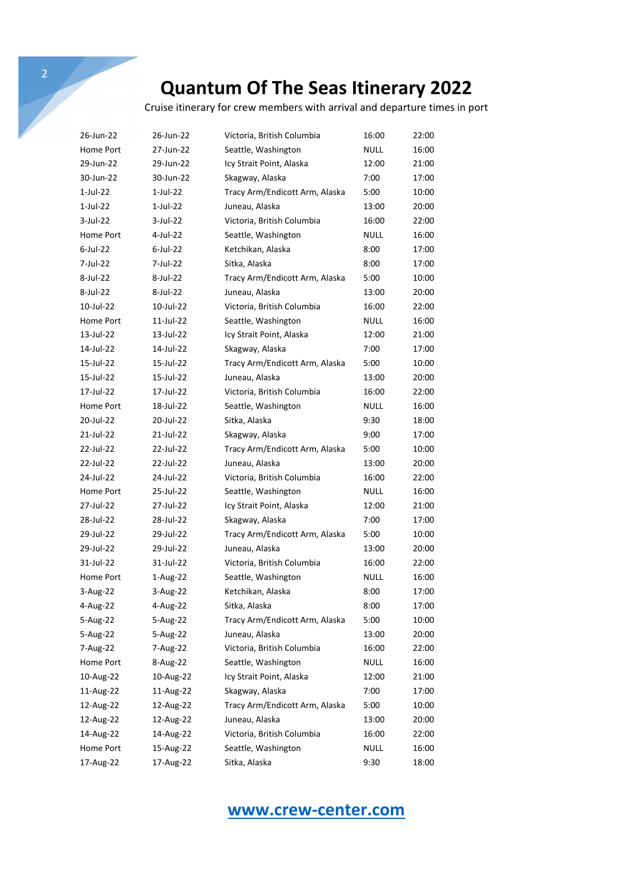Cruise itinerary for crew members with arrival and departure times in port

| 26-Jun-22   | 26-Jun-22   | Victoria, British Columbia     | 16:00       | 22:00 |
|-------------|-------------|--------------------------------|-------------|-------|
| Home Port   | 27-Jun-22   | Seattle, Washington            | <b>NULL</b> | 16:00 |
| 29-Jun-22   | 29-Jun-22   | Icy Strait Point, Alaska       | 12:00       | 21:00 |
| 30-Jun-22   | 30-Jun-22   | Skagway, Alaska                | 7:00        | 17:00 |
| 1-Jul-22    | 1-Jul-22    | Tracy Arm/Endicott Arm, Alaska | 5:00        | 10:00 |
| $1$ -Jul-22 | 1-Jul-22    | Juneau, Alaska                 | 13:00       | 20:00 |
| $3$ -Jul-22 | 3-Jul-22    | Victoria, British Columbia     | 16:00       | 22:00 |
| Home Port   | 4-Jul-22    | Seattle, Washington            | NULL        | 16:00 |
| 6-Jul-22    | $6$ -Jul-22 | Ketchikan, Alaska              | 8:00        | 17:00 |
| 7-Jul-22    | 7-Jul-22    | Sitka, Alaska                  | 8:00        | 17:00 |
| 8-Jul-22    | 8-Jul-22    | Tracy Arm/Endicott Arm, Alaska | 5:00        | 10:00 |
| 8-Jul-22    | 8-Jul-22    | Juneau, Alaska                 | 13:00       | 20:00 |
| 10-Jul-22   | 10-Jul-22   | Victoria, British Columbia     | 16:00       | 22:00 |
| Home Port   | 11-Jul-22   | Seattle, Washington            | NULL        | 16:00 |
| 13-Jul-22   | 13-Jul-22   | Icy Strait Point, Alaska       | 12:00       | 21:00 |
| 14-Jul-22   | 14-Jul-22   | Skagway, Alaska                | 7:00        | 17:00 |
| 15-Jul-22   | 15-Jul-22   | Tracy Arm/Endicott Arm, Alaska | 5:00        | 10:00 |
| 15-Jul-22   | 15-Jul-22   | Juneau, Alaska                 | 13:00       | 20:00 |
| 17-Jul-22   | 17-Jul-22   | Victoria, British Columbia     | 16:00       | 22:00 |
| Home Port   | 18-Jul-22   | Seattle, Washington            | NULL        | 16:00 |
| 20-Jul-22   | 20-Jul-22   | Sitka, Alaska                  | 9:30        | 18:00 |
| 21-Jul-22   | 21-Jul-22   | Skagway, Alaska                | 9:00        | 17:00 |
| 22-Jul-22   | 22-Jul-22   | Tracy Arm/Endicott Arm, Alaska | 5:00        | 10:00 |
| 22-Jul-22   | 22-Jul-22   | Juneau, Alaska                 | 13:00       | 20:00 |
| 24-Jul-22   | 24-Jul-22   | Victoria, British Columbia     | 16:00       | 22:00 |
| Home Port   | 25-Jul-22   | Seattle, Washington            | NULL        | 16:00 |
| 27-Jul-22   | 27-Jul-22   | Icy Strait Point, Alaska       | 12:00       | 21:00 |
| 28-Jul-22   | 28-Jul-22   | Skagway, Alaska                | 7:00        | 17:00 |
| 29-Jul-22   | 29-Jul-22   | Tracy Arm/Endicott Arm, Alaska | 5:00        | 10:00 |
| 29-Jul-22   | 29-Jul-22   | Juneau, Alaska                 | 13:00       | 20:00 |
| 31-Jul-22   | 31-Jul-22   | Victoria, British Columbia     | 16:00       | 22:00 |
| Home Port   | $1-Aug-22$  | Seattle, Washington            | NULL        | 16:00 |
| $3-Aug-22$  | 3-Aug-22    | Ketchikan, Alaska              | 8:00        | 17:00 |
| 4-Aug-22    | 4-Aug-22    | Sitka, Alaska                  | 8:00        | 17:00 |
| 5-Aug-22    | 5-Aug-22    | Tracy Arm/Endicott Arm, Alaska | 5:00        | 10:00 |
| 5-Aug-22    | 5-Aug-22    | Juneau, Alaska                 | 13:00       | 20:00 |
| 7-Aug-22    | 7-Aug-22    | Victoria, British Columbia     | 16:00       | 22:00 |
| Home Port   | 8-Aug-22    | Seattle, Washington            | <b>NULL</b> | 16:00 |
| 10-Aug-22   | 10-Aug-22   | Icy Strait Point, Alaska       | 12:00       | 21:00 |
| 11-Aug-22   | 11-Aug-22   | Skagway, Alaska                | 7:00        | 17:00 |
| 12-Aug-22   | 12-Aug-22   | Tracy Arm/Endicott Arm, Alaska | 5:00        | 10:00 |
| 12-Aug-22   | 12-Aug-22   | Juneau, Alaska                 | 13:00       | 20:00 |
| 14-Aug-22   | 14-Aug-22   | Victoria, British Columbia     | 16:00       | 22:00 |
| Home Port   | 15-Aug-22   | Seattle, Washington            | <b>NULL</b> | 16:00 |
| 17-Aug-22   | 17-Aug-22   | Sitka, Alaska                  | 9:30        | 18:00 |

## **www.crew-center.com**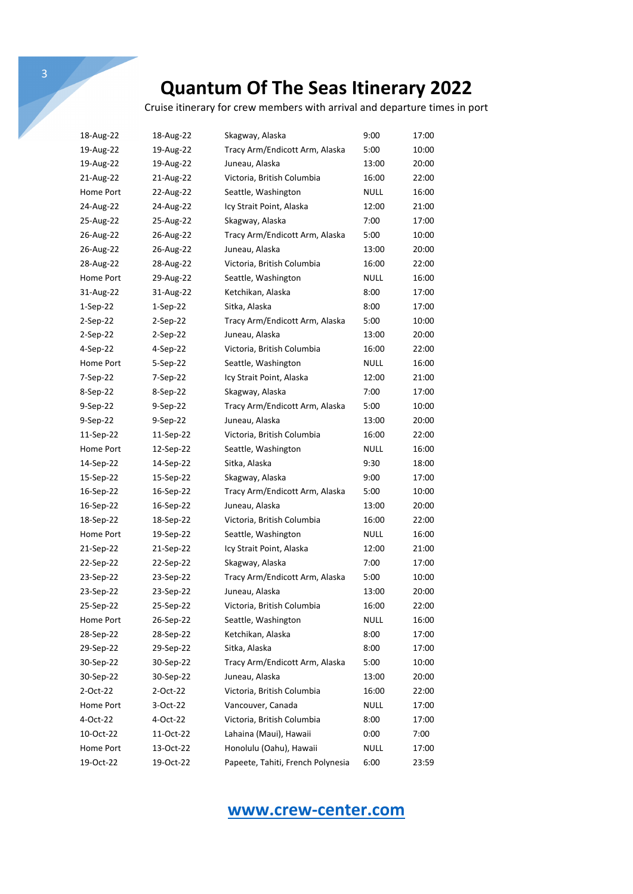Cruise itinerary for crew members with arrival and departure times in port

| 18-Aug-22  | 18-Aug-22  | Skagway, Alaska                   | 9:00        | 17:00 |
|------------|------------|-----------------------------------|-------------|-------|
| 19-Aug-22  | 19-Aug-22  | Tracy Arm/Endicott Arm, Alaska    | 5:00        | 10:00 |
| 19-Aug-22  | 19-Aug-22  | Juneau, Alaska                    | 13:00       | 20:00 |
| 21-Aug-22  | 21-Aug-22  | Victoria, British Columbia        | 16:00       | 22:00 |
| Home Port  | 22-Aug-22  | Seattle, Washington               | <b>NULL</b> | 16:00 |
| 24-Aug-22  | 24-Aug-22  | Icy Strait Point, Alaska          | 12:00       | 21:00 |
| 25-Aug-22  | 25-Aug-22  | Skagway, Alaska                   | 7:00        | 17:00 |
| 26-Aug-22  | 26-Aug-22  | Tracy Arm/Endicott Arm, Alaska    | 5:00        | 10:00 |
| 26-Aug-22  | 26-Aug-22  | Juneau, Alaska                    | 13:00       | 20:00 |
| 28-Aug-22  | 28-Aug-22  | Victoria, British Columbia        | 16:00       | 22:00 |
| Home Port  | 29-Aug-22  | Seattle, Washington               | NULL        | 16:00 |
| 31-Aug-22  | 31-Aug-22  | Ketchikan, Alaska                 | 8:00        | 17:00 |
| $1-Sep-22$ | $1-Sep-22$ | Sitka, Alaska                     | 8:00        | 17:00 |
| 2-Sep-22   | $2-Sep-22$ | Tracy Arm/Endicott Arm, Alaska    | 5:00        | 10:00 |
| 2-Sep-22   | $2-Sep-22$ | Juneau, Alaska                    | 13:00       | 20:00 |
| 4-Sep-22   | $4-Sep-22$ | Victoria, British Columbia        | 16:00       | 22:00 |
| Home Port  | 5-Sep-22   | Seattle, Washington               | NULL        | 16:00 |
| 7-Sep-22   | 7-Sep-22   | Icy Strait Point, Alaska          | 12:00       | 21:00 |
| 8-Sep-22   | 8-Sep-22   | Skagway, Alaska                   | 7:00        | 17:00 |
| 9-Sep-22   | $9-Sep-22$ | Tracy Arm/Endicott Arm, Alaska    | 5:00        | 10:00 |
| 9-Sep-22   | 9-Sep-22   | Juneau, Alaska                    | 13:00       | 20:00 |
| 11-Sep-22  | 11-Sep-22  | Victoria, British Columbia        | 16:00       | 22:00 |
| Home Port  | 12-Sep-22  | Seattle, Washington               | NULL        | 16:00 |
| 14-Sep-22  | 14-Sep-22  | Sitka, Alaska                     | 9:30        | 18:00 |
| 15-Sep-22  | 15-Sep-22  | Skagway, Alaska                   | 9:00        | 17:00 |
| 16-Sep-22  | 16-Sep-22  | Tracy Arm/Endicott Arm, Alaska    | 5:00        | 10:00 |
| 16-Sep-22  | 16-Sep-22  | Juneau, Alaska                    | 13:00       | 20:00 |
| 18-Sep-22  | 18-Sep-22  | Victoria, British Columbia        | 16:00       | 22:00 |
| Home Port  | 19-Sep-22  | Seattle, Washington               | NULL        | 16:00 |
| 21-Sep-22  | 21-Sep-22  | Icy Strait Point, Alaska          | 12:00       | 21:00 |
| 22-Sep-22  | 22-Sep-22  | Skagway, Alaska                   | 7:00        | 17:00 |
| 23-Sep-22  | 23-Sep-22  | Tracy Arm/Endicott Arm, Alaska    | 5:00        | 10:00 |
| 23-Sep-22  | 23-Sep-22  | Juneau, Alaska                    | 13:00       | 20:00 |
| 25-Sep-22  | 25-Sep-22  | Victoria, British Columbia        | 16:00       | 22:00 |
| Home Port  | 26-Sep-22  | Seattle, Washington               | NULL        | 16:00 |
| 28-Sep-22  | 28-Sep-22  | Ketchikan, Alaska                 | 8:00        | 17:00 |
| 29-Sep-22  | 29-Sep-22  | Sitka, Alaska                     | 8:00        | 17:00 |
| 30-Sep-22  | 30-Sep-22  | Tracy Arm/Endicott Arm, Alaska    | 5:00        | 10:00 |
| 30-Sep-22  | 30-Sep-22  | Juneau, Alaska                    | 13:00       | 20:00 |
| 2-Oct-22   | 2-Oct-22   | Victoria, British Columbia        | 16:00       | 22:00 |
| Home Port  | 3-Oct-22   | Vancouver, Canada                 | <b>NULL</b> | 17:00 |
| 4-Oct-22   | 4-Oct-22   | Victoria, British Columbia        | 8:00        | 17:00 |
| 10-Oct-22  | 11-Oct-22  | Lahaina (Maui), Hawaii            | 0:00        | 7:00  |
| Home Port  | 13-Oct-22  | Honolulu (Oahu), Hawaii           | <b>NULL</b> | 17:00 |
| 19-Oct-22  | 19-Oct-22  | Papeete, Tahiti, French Polynesia | 6:00        | 23:59 |

## **www.crew-center.com**